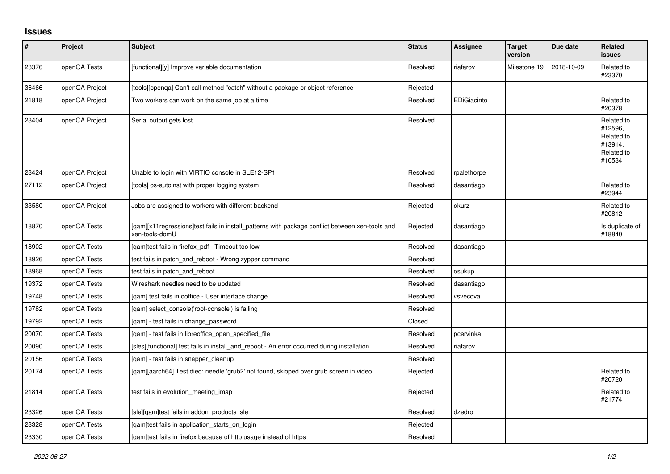## **Issues**

| #     | Project        | <b>Subject</b>                                                                                                     | <b>Status</b> | Assignee    | <b>Target</b><br>version | Due date   | Related<br><b>issues</b>                                               |
|-------|----------------|--------------------------------------------------------------------------------------------------------------------|---------------|-------------|--------------------------|------------|------------------------------------------------------------------------|
| 23376 | openQA Tests   | [functional][y] Improve variable documentation                                                                     | Resolved      | riafarov    | Milestone 19             | 2018-10-09 | Related to<br>#23370                                                   |
| 36466 | openQA Project | [tools][openga] Can't call method "catch" without a package or object reference                                    | Rejected      |             |                          |            |                                                                        |
| 21818 | openQA Project | Two workers can work on the same job at a time                                                                     | Resolved      | EDiGiacinto |                          |            | Related to<br>#20378                                                   |
| 23404 | openQA Project | Serial output gets lost                                                                                            | Resolved      |             |                          |            | Related to<br>#12596,<br>Related to<br>#13914,<br>Related to<br>#10534 |
| 23424 | openQA Project | Unable to login with VIRTIO console in SLE12-SP1                                                                   | Resolved      | rpalethorpe |                          |            |                                                                        |
| 27112 | openQA Project | [tools] os-autoinst with proper logging system                                                                     | Resolved      | dasantiago  |                          |            | Related to<br>#23944                                                   |
| 33580 | openQA Project | Jobs are assigned to workers with different backend                                                                | Rejected      | okurz       |                          |            | Related to<br>#20812                                                   |
| 18870 | openQA Tests   | [gam][x11 regressions]test fails in install patterns with package conflict between xen-tools and<br>xen-tools-domU | Rejected      | dasantiago  |                          |            | Is duplicate of<br>#18840                                              |
| 18902 | openQA Tests   | [qam]test fails in firefox_pdf - Timeout too low                                                                   | Resolved      | dasantiago  |                          |            |                                                                        |
| 18926 | openQA Tests   | test fails in patch_and_reboot - Wrong zypper command                                                              | Resolved      |             |                          |            |                                                                        |
| 18968 | openQA Tests   | test fails in patch_and_reboot                                                                                     | Resolved      | osukup      |                          |            |                                                                        |
| 19372 | openQA Tests   | Wireshark needles need to be updated                                                                               | Resolved      | dasantiago  |                          |            |                                                                        |
| 19748 | openQA Tests   | [qam] test fails in ooffice - User interface change                                                                | Resolved      | vsvecova    |                          |            |                                                                        |
| 19782 | openQA Tests   | [gam] select console('root-console') is failing                                                                    | Resolved      |             |                          |            |                                                                        |
| 19792 | openQA Tests   | [qam] - test fails in change_password                                                                              | Closed        |             |                          |            |                                                                        |
| 20070 | openQA Tests   | [qam] - test fails in libreoffice_open_specified_file                                                              | Resolved      | pcervinka   |                          |            |                                                                        |
| 20090 | openQA Tests   | [sles][functional] test fails in install_and_reboot - An error occurred during installation                        | Resolved      | riafarov    |                          |            |                                                                        |
| 20156 | openQA Tests   | [qam] - test fails in snapper_cleanup                                                                              | Resolved      |             |                          |            |                                                                        |
| 20174 | openQA Tests   | [qam][aarch64] Test died: needle 'grub2' not found, skipped over grub screen in video                              | Rejected      |             |                          |            | Related to<br>#20720                                                   |
| 21814 | openQA Tests   | test fails in evolution_meeting_imap                                                                               | Rejected      |             |                          |            | Related to<br>#21774                                                   |
| 23326 | openQA Tests   | [sle][qam]test fails in addon_products_sle                                                                         | Resolved      | dzedro      |                          |            |                                                                        |
| 23328 | openQA Tests   | [gam]test fails in application starts on login                                                                     | Rejected      |             |                          |            |                                                                        |
| 23330 | openQA Tests   | [gam]test fails in firefox because of http usage instead of https                                                  | Resolved      |             |                          |            |                                                                        |